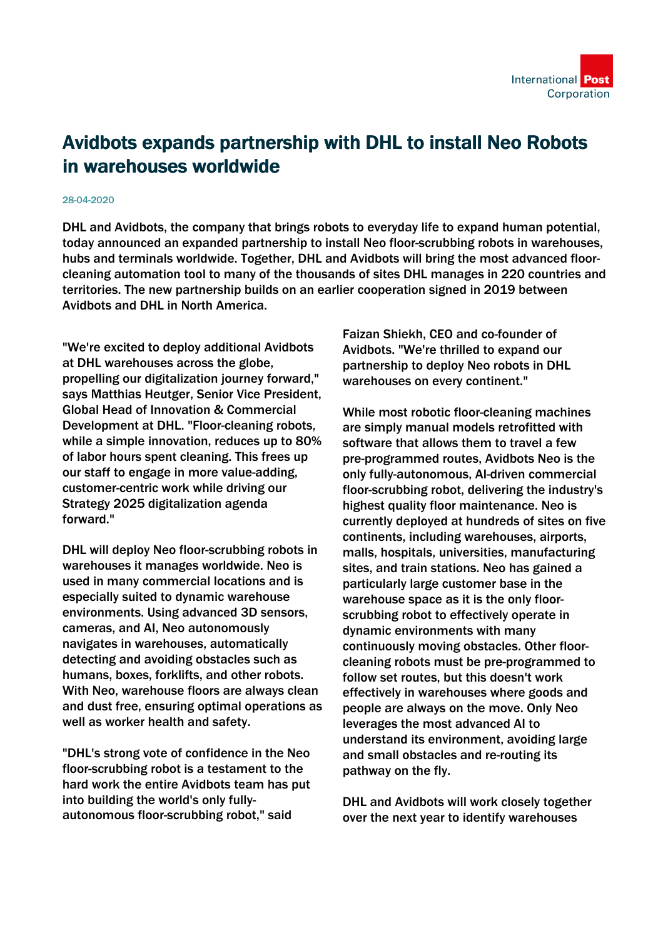## Avidbots expands partnership with DHL to install Neo Robots in warehouses worldwide

## 28-04-2020

DHL and Avidbots, the company that brings robots to everyday life to expand human potential, today announced an expanded partnership to install Neo floor-scrubbing robots in warehouses, hubs and terminals worldwide. Together, DHL and Avidbots will bring the most advanced floorcleaning automation tool to many of the thousands of sites DHL manages in 220 countries and territories. The new partnership builds on an earlier cooperation signed in 2019 between Avidbots and DHL in North America.

"We're excited to deploy additional Avidbots at DHL warehouses across the globe, propelling our digitalization journey forward," says Matthias Heutger, Senior Vice President, Global Head of Innovation & Commercial Development at DHL. "Floor-cleaning robots, while a simple innovation, reduces up to 80% of labor hours spent cleaning. This frees up our staff to engage in more value-adding, customer-centric work while driving our Strategy 2025 digitalization agenda forward."

DHL will deploy Neo floor-scrubbing robots in warehouses it manages worldwide. Neo is used in many commercial locations and is especially suited to dynamic warehouse environments. Using advanced 3D sensors, cameras, and AI, Neo autonomously navigates in warehouses, automatically detecting and avoiding obstacles such as humans, boxes, forklifts, and other robots. With Neo, warehouse floors are always clean and dust free, ensuring optimal operations as well as worker health and safety.

"DHL's strong vote of confidence in the Neo floor-scrubbing robot is a testament to the hard work the entire Avidbots team has put into building the world's only fullyautonomous floor-scrubbing robot," said

Faizan Shiekh, CEO and co-founder of Avidbots. "We're thrilled to expand our partnership to deploy Neo robots in DHL warehouses on every continent."

While most robotic floor-cleaning machines are simply manual models retrofitted with software that allows them to travel a few pre-programmed routes, Avidbots Neo is the only fully-autonomous, AI-driven commercial floor-scrubbing robot, delivering the industry's highest quality floor maintenance. Neo is currently deployed at hundreds of sites on five continents, including warehouses, airports, malls, hospitals, universities, manufacturing sites, and train stations. Neo has gained a particularly large customer base in the warehouse space as it is the only floorscrubbing robot to effectively operate in dynamic environments with many continuously moving obstacles. Other floorcleaning robots must be pre-programmed to follow set routes, but this doesn't work effectively in warehouses where goods and people are always on the move. Only Neo leverages the most advanced AI to understand its environment, avoiding large and small obstacles and re-routing its pathway on the fly.

DHL and Avidbots will work closely together over the next year to identify warehouses